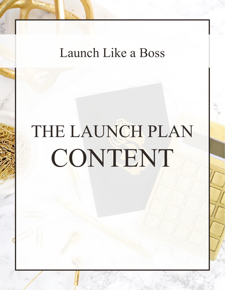## Launch Like a Boss

# THE LAUNCH PLAN CONTENT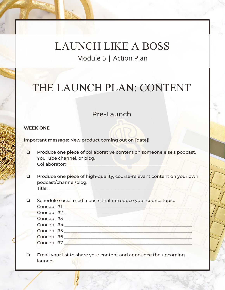### THE LAUNCH PLAN: CONTENT

#### Pre-Launch

#### **WEEK ONE**

Important message: New product coming out on [date]!

- ❏ Produce one piece of collaborative content on someone else's podcast, YouTube channel, or blog. Collaborator: \_\_\_\_\_\_\_\_\_\_\_\_\_\_\_\_\_\_\_\_\_\_\_\_\_\_\_\_\_\_\_\_\_\_\_\_\_\_\_\_\_\_\_\_\_
- ❏ Produce one piece of high-quality, course-relevant content on your own podcast/channel/blog. Title: \_\_\_\_\_\_\_\_\_\_\_\_\_\_\_\_\_\_\_\_\_\_\_\_\_\_\_\_\_\_\_\_\_\_\_\_\_\_\_\_\_\_\_\_\_\_\_\_\_\_\_\_\_\_\_\_\_\_\_\_\_\_\_
- ❏ Schedule social media posts that introduce your course topic. Concept #1 \_\_\_\_\_\_\_\_\_\_\_\_\_\_\_\_\_\_\_\_\_\_\_\_\_\_\_\_\_\_\_\_\_\_\_\_\_\_\_\_\_\_\_\_\_\_\_\_\_\_\_\_\_\_\_\_\_\_ Concept #2 \_\_\_\_\_\_\_\_\_\_\_\_\_\_\_\_\_\_\_\_\_\_\_\_\_\_\_\_\_\_\_\_\_\_\_\_\_\_\_\_\_\_\_\_\_\_\_\_\_\_\_\_\_\_\_\_\_\_ Concept #3 \_\_\_\_\_\_\_\_\_\_\_\_\_\_\_\_\_\_\_\_\_\_\_\_\_\_\_\_\_\_\_\_\_\_\_\_\_\_\_\_\_\_\_\_\_\_\_\_\_\_\_\_\_\_\_\_\_\_ Concept #4 \_\_\_\_\_\_\_\_\_\_\_\_\_\_\_\_\_\_\_\_\_\_\_\_\_\_\_\_\_\_\_\_\_\_\_\_\_\_\_\_\_\_\_\_\_\_\_\_\_\_\_\_\_\_\_\_\_\_ Concept #5 \_\_\_\_\_\_\_\_\_\_\_\_\_\_\_\_\_\_\_\_\_\_\_\_\_\_\_\_\_\_\_\_\_\_\_\_\_\_\_\_\_\_\_\_\_\_\_\_\_\_\_\_\_\_\_\_\_\_ Concept #6 \_\_\_\_\_\_\_\_\_\_\_\_\_\_\_\_\_\_\_\_\_\_\_\_\_\_\_\_\_\_\_\_\_\_\_\_\_\_\_\_\_\_\_\_\_\_\_\_\_\_\_\_\_\_\_\_\_\_ Concept #7 \_\_\_\_\_\_\_\_\_\_\_\_\_\_\_\_\_\_\_\_\_\_\_\_\_\_\_\_\_\_\_\_\_\_\_\_\_\_\_\_\_\_\_\_\_\_\_\_\_\_\_\_\_\_\_\_\_\_
- ❏ Email your list to share your content and announce the upcoming launch.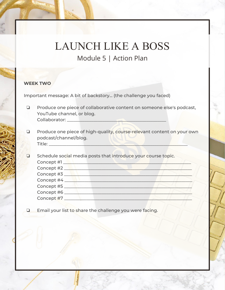#### **WEEK TWO**

Important message: A bit of backstory... (the challenge you faced)

- ❏ Produce one piece of collaborative content on someone else's podcast, YouTube channel, or blog. Collaborator: \_\_\_\_\_\_\_\_\_\_\_\_\_\_\_\_\_\_\_\_\_\_\_\_\_\_\_\_\_\_\_\_\_\_\_\_\_\_\_\_\_\_\_\_\_
- ❏ Produce one piece of high-quality, course-relevant content on your own podcast/channel/blog.  $\blacksquare$  Title:  $\blacksquare$
- ❏ Schedule social media posts that introduce your course topic. Concept #1 \_\_\_\_\_\_\_\_\_\_\_\_\_\_\_\_\_\_\_\_\_\_\_\_\_\_\_\_\_\_\_\_\_\_\_\_\_\_\_\_\_\_\_\_\_\_\_\_\_\_\_\_\_\_\_\_\_\_ Concept #2 \_\_\_\_\_\_\_\_\_\_\_\_\_\_\_\_\_\_\_\_\_\_\_\_\_\_\_\_\_\_\_\_\_\_\_\_\_\_\_\_\_\_\_\_\_\_\_\_\_\_\_\_\_\_\_\_\_\_ Concept #3 \_\_\_\_\_\_\_\_\_\_\_\_\_\_\_\_\_\_\_\_\_\_\_\_\_\_\_\_\_\_\_\_\_\_\_\_\_\_\_\_\_\_\_\_\_\_\_\_\_\_\_\_\_\_\_\_\_\_ Concept #4 \_\_\_\_\_\_\_\_\_\_\_\_\_\_\_\_\_\_\_\_\_\_\_\_\_\_\_\_\_\_\_\_\_\_\_\_\_\_\_\_\_\_\_\_\_\_\_\_\_\_\_\_\_\_\_\_\_\_ Concept #5 \_\_\_\_\_\_\_\_\_\_\_\_\_\_\_\_\_\_\_\_\_\_\_\_\_\_\_\_\_\_\_\_\_\_\_\_\_\_\_\_\_\_\_\_\_\_\_\_\_\_\_\_\_\_\_\_\_\_ Concept #6 \_\_\_\_\_\_\_\_\_\_\_\_\_\_\_\_\_\_\_\_\_\_\_\_\_\_\_\_\_\_\_\_\_\_\_\_\_\_\_\_\_\_\_\_\_\_\_\_\_\_\_\_\_\_\_\_\_\_ Concept #7 \_\_\_\_\_\_\_\_\_\_\_\_\_\_\_\_\_\_\_\_\_\_\_\_\_\_\_\_\_\_\_\_\_\_\_\_\_\_\_\_\_\_\_\_\_\_\_\_\_\_\_\_\_\_\_\_\_\_
- ❏ Email your list to share the challenge you were facing.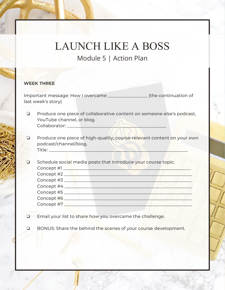#### **WEEK THREE**

Important message: How I overcame \_\_\_\_\_\_\_\_\_\_\_\_\_\_\_\_\_\_ (the continuation of last week's story)

- ❏ Produce one piece of collaborative content on someone else's podcast, YouTube channel, or blog. Collaborator: \_\_\_\_\_\_\_\_\_\_\_\_\_\_\_\_\_\_\_\_\_\_\_\_\_\_\_\_\_\_\_\_\_\_\_\_\_\_\_\_\_\_\_\_\_
- ❏ Produce one piece of high-quality, course-relevant content on your own podcast/channel/blog.  $\text{Title:}\_\_\_\_\_\_\_\_\_\_\_\_\_\_\_\_\_\_\_\_\_\_\_\_\_\_\_\_$
- ❏ Schedule social media posts that introduce your course topic. Concept #1 \_\_\_\_\_\_\_\_\_\_\_\_\_\_\_\_\_\_\_\_\_\_\_\_\_\_\_\_\_\_\_\_\_\_\_\_\_\_\_\_\_\_\_\_\_\_\_\_\_\_\_\_\_\_\_\_\_\_ Concept #2 \_\_\_\_\_\_\_\_\_\_\_\_\_\_\_\_\_\_\_\_\_\_\_\_\_\_\_\_\_\_\_\_\_\_\_\_\_\_\_\_\_\_\_\_\_\_\_\_\_\_\_\_\_\_\_\_\_\_ Concept #3 \_\_\_\_\_\_\_\_\_\_\_\_\_\_\_\_\_\_\_\_\_\_\_\_\_\_\_\_\_\_\_\_\_\_\_\_\_\_\_\_\_\_\_\_\_\_\_\_\_\_\_\_\_\_\_\_\_\_ Concept #4 \_\_\_\_\_\_\_\_\_\_\_\_\_\_\_\_\_\_\_\_\_\_\_\_\_\_\_\_\_\_\_\_\_\_\_\_\_\_\_\_\_\_\_\_\_\_\_\_\_\_\_\_\_\_\_\_\_\_ Concept #5 \_\_\_\_\_\_\_\_\_\_\_\_\_\_\_\_\_\_\_\_\_\_\_\_\_\_\_\_\_\_\_\_\_\_\_\_\_\_\_\_\_\_\_\_\_\_\_\_\_\_\_\_\_\_\_\_\_\_ Concept #6 \_\_\_\_\_\_\_\_\_\_\_\_\_\_\_\_\_\_\_\_\_\_\_\_\_\_\_\_\_\_\_\_\_\_\_\_\_\_\_\_\_\_\_\_\_\_\_\_\_\_\_\_\_\_\_\_\_\_ Concept #7 \_\_\_\_\_\_\_\_\_\_\_\_\_\_\_\_\_\_\_\_\_\_\_\_\_\_\_\_\_\_\_\_\_\_\_\_\_\_\_\_\_\_\_\_\_\_\_\_\_\_\_\_\_\_\_\_\_\_
- ❏ Email your list to share how you overcame the challenge.
- ❏ BONUS: Share the behind the scenes of your course development.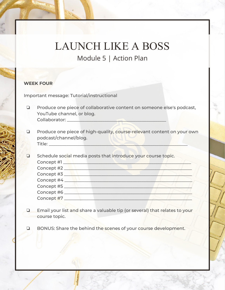#### **WEEK FOUR**

Important message: Tutorial/instructional

- ❏ Produce one piece of collaborative content on someone else's podcast, YouTube channel, or blog. Collaborator: \_\_\_\_\_\_\_\_\_\_\_\_\_\_\_\_\_\_\_\_\_\_\_\_\_\_\_\_\_\_\_\_\_\_\_\_\_\_\_\_\_\_\_\_\_
- ❏ Produce one piece of high-quality, course-relevant content on your own podcast/channel/blog.  $\blacksquare$  Title:  $\blacksquare$
- ❏ Schedule social media posts that introduce your course topic. Concept #1 \_\_\_\_\_\_\_\_\_\_\_\_\_\_\_\_\_\_\_\_\_\_\_\_\_\_\_\_\_\_\_\_\_\_\_\_\_\_\_\_\_\_\_\_\_\_\_\_\_\_\_\_\_\_\_\_\_\_ Concept #2 \_\_\_\_\_\_\_\_\_\_\_\_\_\_\_\_\_\_\_\_\_\_\_\_\_\_\_\_\_\_\_\_\_\_\_\_\_\_\_\_\_\_\_\_\_\_\_\_\_\_\_\_\_\_\_\_\_\_ Concept #3 \_\_\_\_\_\_\_\_\_\_\_\_\_\_\_\_\_\_\_\_\_\_\_\_\_\_\_\_\_\_\_\_\_\_\_\_\_\_\_\_\_\_\_\_\_\_\_\_\_\_\_\_\_\_\_\_\_\_ Concept #4 \_\_\_\_\_\_\_\_\_\_\_\_\_\_\_\_\_\_\_\_\_\_\_\_\_\_\_\_\_\_\_\_\_\_\_\_\_\_\_\_\_\_\_\_\_\_\_\_\_\_\_\_\_\_\_\_\_\_ Concept #5 \_\_\_\_\_\_\_\_\_\_\_\_\_\_\_\_\_\_\_\_\_\_\_\_\_\_\_\_\_\_\_\_\_\_\_\_\_\_\_\_\_\_\_\_\_\_\_\_\_\_\_\_\_\_\_\_\_\_ Concept #6 \_\_\_\_\_\_\_\_\_\_\_\_\_\_\_\_\_\_\_\_\_\_\_\_\_\_\_\_\_\_\_\_\_\_\_\_\_\_\_\_\_\_\_\_\_\_\_\_\_\_\_\_\_\_\_\_\_\_ Concept #7 \_\_\_\_\_\_\_\_\_\_\_\_\_\_\_\_\_\_\_\_\_\_\_\_\_\_\_\_\_\_\_\_\_\_\_\_\_\_\_\_\_\_\_\_\_\_\_\_\_\_\_\_\_\_\_\_\_\_
- ❏ Email your list and share a valuable tip (or several) that relates to your course topic.
- ❏ BONUS: Share the behind the scenes of your course development.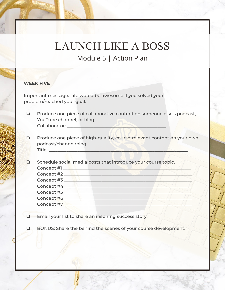#### **WEEK FIVE**

Important message: Life would be awesome if you solved your problem/reached your goal.

- ❏ Produce one piece of collaborative content on someone else's podcast, YouTube channel, or blog. Collaborator: \_\_\_\_\_\_\_\_\_\_\_\_\_\_\_\_\_\_\_\_\_\_\_\_\_\_\_\_\_\_\_\_\_\_\_\_\_\_\_\_\_\_\_\_\_
- ❏ Produce one piece of high-quality, course-relevant content on your own podcast/channel/blog. Title: \_\_\_\_\_\_\_\_\_\_\_\_\_\_\_\_\_\_\_\_\_\_\_\_\_\_\_\_\_\_\_\_\_\_\_\_\_\_\_\_\_\_\_\_\_\_\_\_\_\_\_\_\_\_\_\_\_\_\_\_\_\_\_
- ❏ Schedule social media posts that introduce your course topic. Concept #1 \_\_\_\_\_\_\_\_\_\_\_\_\_\_\_\_\_\_\_\_\_\_\_\_\_\_\_\_\_\_\_\_\_\_\_\_\_\_\_\_\_\_\_\_\_\_\_\_\_\_\_\_\_\_\_\_\_\_ Concept #2 \_\_\_\_\_\_\_\_\_\_\_\_\_\_\_\_\_\_\_\_\_\_\_\_\_\_\_\_\_\_\_\_\_\_\_\_\_\_\_\_\_\_\_\_\_\_\_\_\_\_\_\_\_\_\_\_\_\_ Concept #3 \_\_\_\_\_\_\_\_\_\_\_\_\_\_\_\_\_\_\_\_\_\_\_\_\_\_\_\_\_\_\_\_\_\_\_\_\_\_\_\_\_\_\_\_\_\_\_\_\_\_\_\_\_\_\_\_\_\_ Concept #4 \_\_\_\_\_\_\_\_\_\_\_\_\_\_\_\_\_\_\_\_\_\_\_\_\_\_\_\_\_\_\_\_\_\_\_\_\_\_\_\_\_\_\_\_\_\_\_\_\_\_\_\_\_\_\_\_\_\_ Concept #5 \_\_\_\_\_\_\_\_\_\_\_\_\_\_\_\_\_\_\_\_\_\_\_\_\_\_\_\_\_\_\_\_\_\_\_\_\_\_\_\_\_\_\_\_\_\_\_\_\_\_\_\_\_\_\_\_\_\_ Concept #6 \_\_\_\_\_\_\_\_\_\_\_\_\_\_\_\_\_\_\_\_\_\_\_\_\_\_\_\_\_\_\_\_\_\_\_\_\_\_\_\_\_\_\_\_\_\_\_\_\_\_\_\_\_\_\_\_\_\_ Concept #7 \_\_\_\_\_\_\_\_\_\_\_\_\_\_\_\_\_\_\_\_\_\_\_\_\_\_\_\_\_\_\_\_\_\_\_\_\_\_\_\_\_\_\_\_\_\_\_\_\_\_\_\_\_\_\_\_\_\_
- ❏ Email your list to share an inspiring success story.
- ❏ BONUS: Share the behind the scenes of your course development.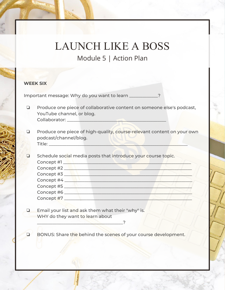#### **WEEK SIX**

Important message: Why do you want to learn \_\_\_\_\_\_\_\_\_\_\_\_\_?

- ❏ Produce one piece of collaborative content on someone else's podcast, YouTube channel, or blog. Collaborator: \_\_\_\_\_\_\_\_\_\_\_\_\_\_\_\_\_\_\_\_\_\_\_\_\_\_\_\_\_\_\_\_\_\_\_\_\_\_\_\_\_\_\_\_\_
- ❏ Produce one piece of high-quality, course-relevant content on your own podcast/channel/blog. Title: \_\_\_\_\_\_\_\_\_\_\_\_\_\_\_\_\_\_\_\_\_\_\_\_\_\_\_\_\_\_\_\_\_\_\_\_\_\_\_\_\_\_\_\_\_\_\_\_\_\_\_\_\_\_\_\_\_\_\_\_\_\_\_
- ❏ Schedule social media posts that introduce your course topic. Concept #1 \_\_\_\_\_\_\_\_\_\_\_\_\_\_\_\_\_\_\_\_\_\_\_\_\_\_\_\_\_\_\_\_\_\_\_\_\_\_\_\_\_\_\_\_\_\_\_\_\_\_\_\_\_\_\_\_\_\_ Concept #2 \_\_\_\_\_\_\_\_\_\_\_\_\_\_\_\_\_\_\_\_\_\_\_\_\_\_\_\_\_\_\_\_\_\_\_\_\_\_\_\_\_\_\_\_\_\_\_\_\_\_\_\_\_\_\_\_\_\_ Concept #3 \_\_\_\_\_\_\_\_\_\_\_\_\_\_\_\_\_\_\_\_\_\_\_\_\_\_\_\_\_\_\_\_\_\_\_\_\_\_\_\_\_\_\_\_\_\_\_\_\_\_\_\_\_\_\_\_\_\_ Concept #4 \_\_\_\_\_\_\_\_\_\_\_\_\_\_\_\_\_\_\_\_\_\_\_\_\_\_\_\_\_\_\_\_\_\_\_\_\_\_\_\_\_\_\_\_\_\_\_\_\_\_\_\_\_\_\_\_\_\_ Concept #5 \_\_\_\_\_\_\_\_\_\_\_\_\_\_\_\_\_\_\_\_\_\_\_\_\_\_\_\_\_\_\_\_\_\_\_\_\_\_\_\_\_\_\_\_\_\_\_\_\_\_\_\_\_\_\_\_\_\_ Concept #6 \_\_\_\_\_\_\_\_\_\_\_\_\_\_\_\_\_\_\_\_\_\_\_\_\_\_\_\_\_\_\_\_\_\_\_\_\_\_\_\_\_\_\_\_\_\_\_\_\_\_\_\_\_\_\_\_\_\_
- ❏ Email your list and ask them what their "why" is. WHY do they want to learn about

\_\_\_\_\_\_\_\_\_\_\_\_\_\_\_\_\_\_\_\_\_\_\_\_\_\_\_\_\_\_\_\_\_\_\_\_\_\_\_?

Concept #7 \_\_\_\_\_\_\_\_\_\_\_\_\_\_\_\_\_\_\_\_\_\_\_\_\_\_\_\_\_\_\_\_\_\_\_\_\_\_\_\_\_\_\_\_\_\_\_\_\_\_\_\_\_\_\_\_\_\_

❏ BONUS: Share the behind the scenes of your course development.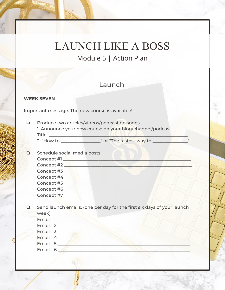# **LAUNCH LIKE A BOSS**

Module 5 | Action Plan

#### Launch

#### **WEEK SEVEN**

Important message: The new course is available!

Produce two articles/videos/podcast episodes  $\Box$ 1. Announce your new course on your blog/channel/podcast 

2. "How to \_\_\_\_\_\_\_\_\_\_\_\_\_\_\_\_\_\_\_\_\_\_\_\_" or "The fastest way to \_\_\_\_\_\_\_\_\_

- $\Box$ Schedule social media posts. Concept #2 Concept #3 Concept #4 Concept #5 Concept #6 Concept #7
- Send launch emails. (one per day for the first six days of your launch Q. week)

| Email $#3$              |  |  |
|-------------------------|--|--|
| <b>Email #4</b>         |  |  |
| Email #5 $\blacksquare$ |  |  |
| Email #6                |  |  |